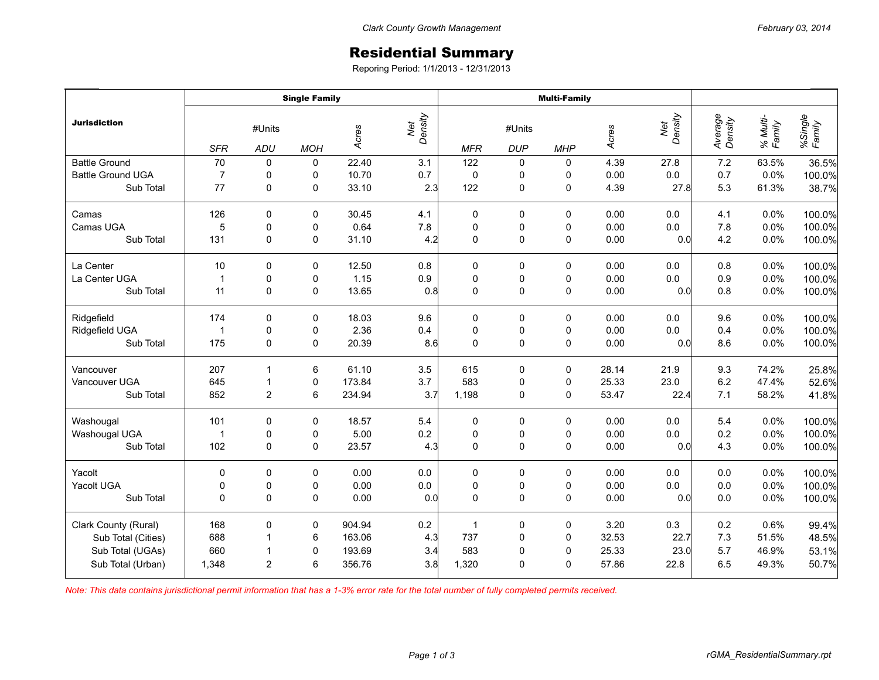## Residential Summary

Reporing Period: 1/1/2013 - 12/31/2013

|                          | <b>Single Family</b> |                        |             |        |                | <b>Multi-Family</b> |                      |             |       |                 |                    |                    |                   |
|--------------------------|----------------------|------------------------|-------------|--------|----------------|---------------------|----------------------|-------------|-------|-----------------|--------------------|--------------------|-------------------|
| <b>Jurisdiction</b>      | <b>SFR</b>           | #Units<br><b>ADU</b>   | <b>MOH</b>  | Acres  | Net<br>Density | <b>MFR</b>          | #Units<br><b>DUP</b> | <b>MHP</b>  | Acres | Net<br>Density  | Average<br>Density | % Multi-<br>Family | %Single<br>Family |
| <b>Battle Ground</b>     | 70                   |                        |             | 22.40  |                | 122                 |                      |             | 4.39  |                 | 7.2                | 63.5%              |                   |
| <b>Battle Ground UGA</b> | $\overline{7}$       | $\pmb{0}$<br>$\pmb{0}$ | 0<br>0      | 10.70  | 3.1<br>0.7     | $\pmb{0}$           | 0<br>0               | 0<br>0      | 0.00  | 27.8<br>$0.0\,$ | 0.7                | 0.0%               | 36.5%<br>100.0%   |
| Sub Total                | 77                   | $\mathbf 0$            | 0           | 33.10  | 2.3            | 122                 | 0                    | 0           | 4.39  | 27.8            | 5.3                | 61.3%              | 38.7%             |
| Camas                    | 126                  | $\mathbf 0$            | $\mathbf 0$ | 30.45  | 4.1            | 0                   | 0                    | 0           | 0.00  | 0.0             | 4.1                | 0.0%               | 100.0%            |
| Camas UGA                | 5                    | $\pmb{0}$              | 0           | 0.64   | $7.8$          | $\mathbf 0$         | 0                    | $\pmb{0}$   | 0.00  | 0.0             | 7.8                | 0.0%               | 100.0%            |
| Sub Total                | 131                  | $\pmb{0}$              | $\pmb{0}$   | 31.10  | 4.2            | $\mathbf 0$         | 0                    | $\pmb{0}$   | 0.00  | 0.0             | 4.2                | 0.0%               | 100.0%            |
| La Center                | 10                   | $\mathbf 0$            | $\mathbf 0$ | 12.50  | 0.8            | 0                   | 0                    | 0           | 0.00  | 0.0             | 0.8                | 0.0%               | 100.0%            |
| La Center UGA            | $\mathbf{1}$         | 0                      | 0           | 1.15   | 0.9            | 0                   | 0                    | 0           | 0.00  | 0.0             | 0.9                | 0.0%               | 100.0%            |
| Sub Total                | 11                   | $\Omega$               | $\mathbf 0$ | 13.65  | 0.8            | $\mathbf 0$         | 0                    | 0           | 0.00  | 0.0             | 0.8                | 0.0%               | 100.0%            |
| Ridgefield               | 174                  | 0                      | 0           | 18.03  | 9.6            | 0                   | 0                    | 0           | 0.00  | 0.0             | 9.6                | 0.0%               | 100.0%            |
| Ridgefield UGA           | $\overline{1}$       | $\pmb{0}$              | $\pmb{0}$   | 2.36   | 0.4            | 0                   | $\pmb{0}$            | $\mathbf 0$ | 0.00  | 0.0             | 0.4                | 0.0%               | 100.0%            |
| Sub Total                | 175                  | $\mathbf 0$            | $\mathbf 0$ | 20.39  | 8.6            | $\mathbf 0$         | 0                    | $\mathbf 0$ | 0.00  | 0.0             | 8.6                | 0.0%               | 100.0%            |
| Vancouver                | 207                  | 1                      | 6           | 61.10  | 3.5            | 615                 | 0                    | $\mathbf 0$ | 28.14 | 21.9            | 9.3                | 74.2%              | 25.8%             |
| Vancouver UGA            | 645                  | $\overline{1}$         | $\pmb{0}$   | 173.84 | 3.7            | 583                 | $\pmb{0}$            | 0           | 25.33 | 23.0            | 6.2                | 47.4%              | 52.6%             |
| Sub Total                | 852                  | $\overline{c}$         | $\,6\,$     | 234.94 | 3.7            | 1,198               | 0                    | $\mathbf 0$ | 53.47 | 22.4            | 7.1                | 58.2%              | 41.8%             |
| Washougal                | 101                  | $\mathbf 0$            | $\mathbf 0$ | 18.57  | 5.4            | 0                   | 0                    | $\mathbf 0$ | 0.00  | 0.0             | 5.4                | 0.0%               | 100.0%            |
| Washougal UGA            | $\mathbf{1}$         | $\pmb{0}$              | $\pmb{0}$   | 5.00   | 0.2            | 0                   | 0                    | 0           | 0.00  | 0.0             | 0.2                | 0.0%               | 100.0%            |
| Sub Total                | 102                  | $\mathbf 0$            | $\mathbf 0$ | 23.57  | 4.3            | $\mathbf 0$         | 0                    | 0           | 0.00  | 0.0             | 4.3                | 0.0%               | 100.0%            |
| Yacolt                   | $\pmb{0}$            | $\pmb{0}$              | $\pmb{0}$   | 0.00   | 0.0            | 0                   | 0                    | 0           | 0.00  | 0.0             | $0.0\,$            | 0.0%               | 100.0%            |
| Yacolt UGA               | 0                    | $\pmb{0}$              | 0           | 0.00   | $0.0\,$        | $\pmb{0}$           | $\pmb{0}$            | 0           | 0.00  | $0.0\,$         | $0.0\,$            | 0.0%               | 100.0%            |
| Sub Total                | $\Omega$             | $\Omega$               | $\Omega$    | 0.00   | 0.0            | $\mathbf 0$         | 0                    | $\mathbf 0$ | 0.00  | 0.0             | 0.0                | 0.0%               | 100.0%            |
| Clark County (Rural)     | 168                  | $\pmb{0}$              | 0           | 904.94 | 0.2            | $\mathbf{1}$        | 0                    | $\pmb{0}$   | 3.20  | 0.3             | 0.2                | 0.6%               | 99.4%             |
| Sub Total (Cities)       | 688                  | $\overline{1}$         | 6           | 163.06 | 4.3            | 737                 | $\pmb{0}$            | $\pmb{0}$   | 32.53 | 22.7            | $7.3$              | 51.5%              | 48.5%             |
| Sub Total (UGAs)         | 660                  | $\overline{1}$         | $\pmb{0}$   | 193.69 | 3.4            | 583                 | 0                    | 0           | 25.33 | 23.0            | 5.7                | 46.9%              | 53.1%             |
| Sub Total (Urban)        | 1,348                | $\overline{2}$         | 6           | 356.76 | 3.8            | 1,320               | 0                    | 0           | 57.86 | 22.8            | 6.5                | 49.3%              | 50.7%             |

*Note: This data contains jurisdictional permit information that has a 1-3% error rate for the total number of fully completed permits received.*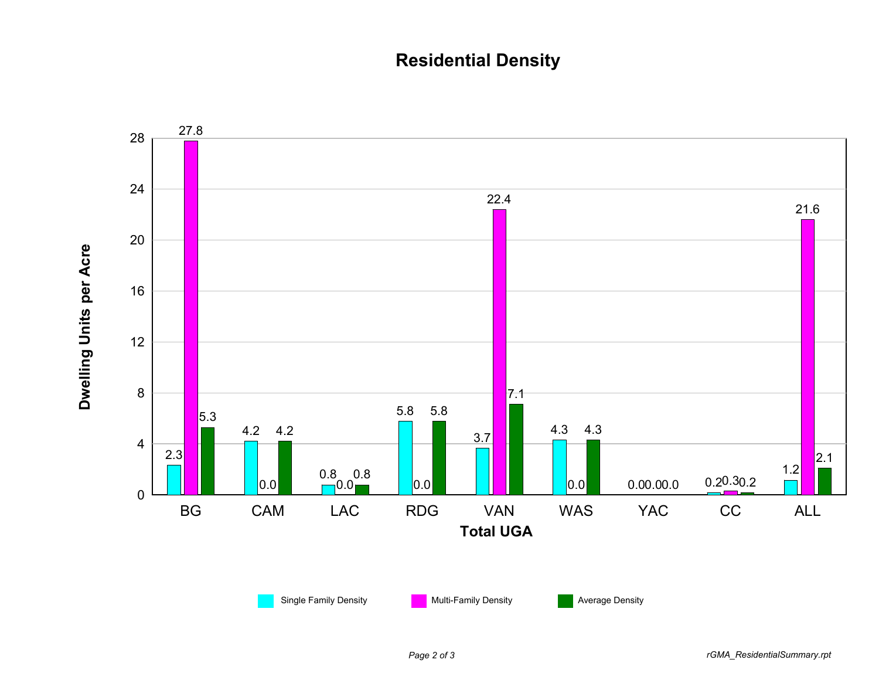## **Residential Density**

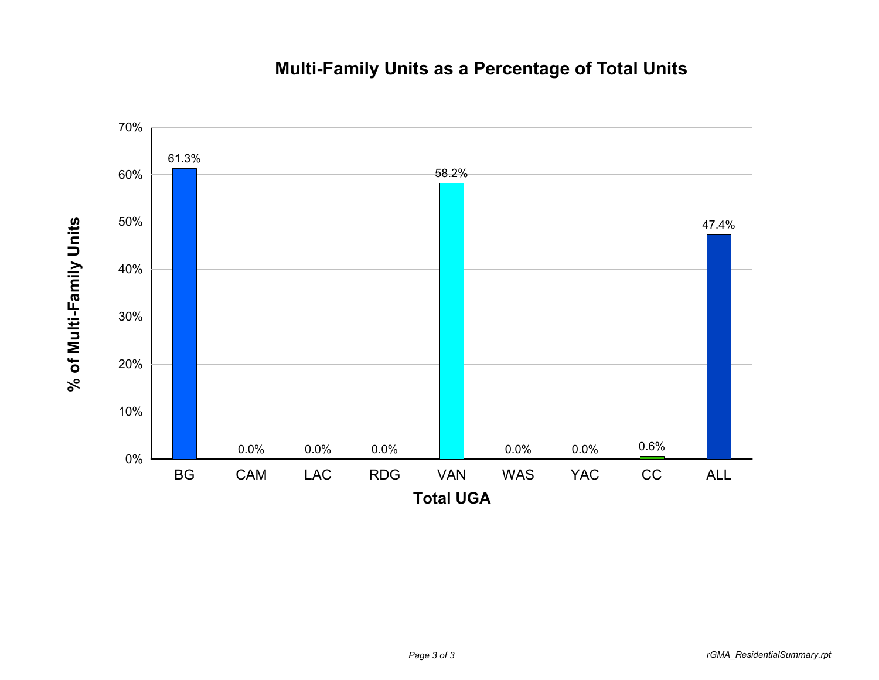## **Multi-Family Units as a Percentage of Total Units**